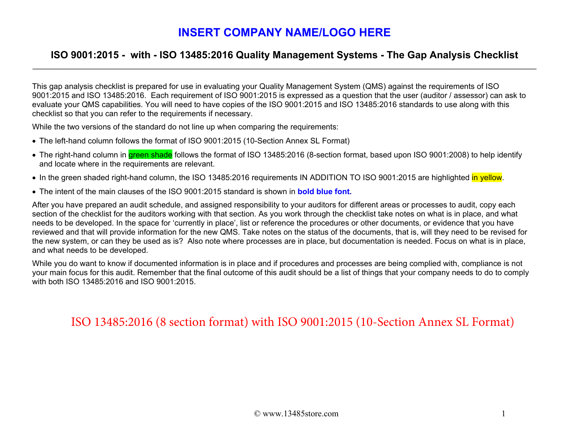#### **ISO 9001:2015 - with - ISO 13485:2016 Quality Management Systems - The Gap Analysis Checklist**

This gap analysis checklist is prepared for use in evaluating your Quality Management System (QMS) against the requirements of ISO 9001:2015 and ISO 13485:2016. Each requirement of ISO 9001:2015 is expressed as a question that the user (auditor / assessor) can ask to evaluate your QMS capabilities. You will need to have copies of the ISO 9001:2015 and ISO 13485:2016 standards to use along with this checklist so that you can refer to the requirements if necessary.

While the two versions of the standard do not line up when comparing the requirements:

- The left-hand column follows the format of ISO 9001:2015 (10-Section Annex SL Format)
- The right-hand column in <mark>green shade</mark> follows the format of ISO 13485:2016 (8-section format, based upon ISO 9001:2008) to help identify and locate where in the requirements are relevant.
- In the green shaded right-hand column, the ISO 13485:2016 requirements IN ADDITION TO ISO 9001:2015 are highlighted <mark>in yellow</mark>.
- The intent of the main clauses of the ISO 9001:2015 standard is shown in **bold blue font.**

After you have prepared an audit schedule, and assigned responsibility to your auditors for different areas or processes to audit, copy each section of the checklist for the auditors working with that section. As you work through the checklist take notes on what is in place, and what needs to be developed. In the space for 'currently in place', list or reference the procedures or other documents, or evidence that you have reviewed and that will provide information for the new QMS. Take notes on the status of the documents, that is, will they need to be revised for the new system, or can they be used as is? Also note where processes are in place, but documentation is needed. Focus on what is in place, and what needs to be developed.

While you do want to know if documented information is in place and if procedures and processes are being complied with, compliance is not your main focus for this audit. Remember that the final outcome of this audit should be a list of things that your company needs to do to comply with both ISO 13485:2016 and ISO 9001:2015.

ISO 13485:2016 (8 section format) with ISO 9001:2015 (10-Section Annex SL Format)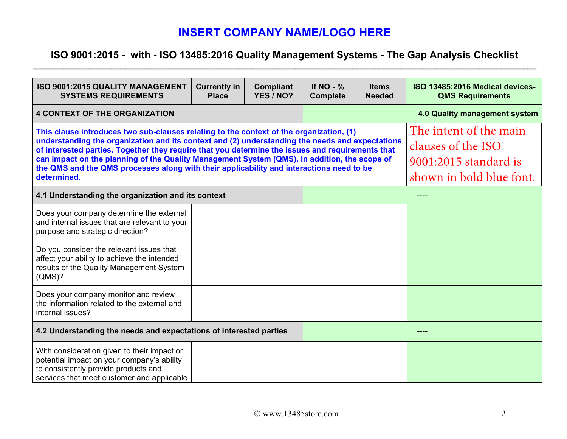## **ISO 9001:2015 - with - ISO 13485:2016 Quality Management Systems - The Gap Analysis Checklist**

| <b>ISO 9001:2015 QUALITY MANAGEMENT</b><br><b>SYSTEMS REQUIREMENTS</b>                                                                                                                                                                                                                                                                                                                                                                                                                                    | <b>Currently in</b><br><b>Place</b>                                                               | <b>Compliant</b><br>YES / NO? | If $NO - %$<br><b>Complete</b> | <b>Items</b><br><b>Needed</b> | ISO 13485:2016 Medical devices-<br><b>QMS Requirements</b> |  |
|-----------------------------------------------------------------------------------------------------------------------------------------------------------------------------------------------------------------------------------------------------------------------------------------------------------------------------------------------------------------------------------------------------------------------------------------------------------------------------------------------------------|---------------------------------------------------------------------------------------------------|-------------------------------|--------------------------------|-------------------------------|------------------------------------------------------------|--|
| <b>4 CONTEXT OF THE ORGANIZATION</b>                                                                                                                                                                                                                                                                                                                                                                                                                                                                      | 4.0 Quality management system                                                                     |                               |                                |                               |                                                            |  |
| This clause introduces two sub-clauses relating to the context of the organization, (1)<br>understanding the organization and its context and (2) understanding the needs and expectations<br>of interested parties. Together they require that you determine the issues and requirements that<br>can impact on the planning of the Quality Management System (QMS). In addition, the scope of<br>the QMS and the QMS processes along with their applicability and interactions need to be<br>determined. | The intent of the main<br>clauses of the ISO<br>9001:2015 standard is<br>shown in bold blue font. |                               |                                |                               |                                                            |  |
| 4.1 Understanding the organization and its context                                                                                                                                                                                                                                                                                                                                                                                                                                                        |                                                                                                   |                               |                                |                               |                                                            |  |
| Does your company determine the external<br>and internal issues that are relevant to your<br>purpose and strategic direction?                                                                                                                                                                                                                                                                                                                                                                             |                                                                                                   |                               |                                |                               |                                                            |  |
| Do you consider the relevant issues that<br>affect your ability to achieve the intended<br>results of the Quality Management System<br>(QMS)?                                                                                                                                                                                                                                                                                                                                                             |                                                                                                   |                               |                                |                               |                                                            |  |
| Does your company monitor and review<br>the information related to the external and<br>internal issues?                                                                                                                                                                                                                                                                                                                                                                                                   |                                                                                                   |                               |                                |                               |                                                            |  |
| 4.2 Understanding the needs and expectations of interested parties                                                                                                                                                                                                                                                                                                                                                                                                                                        |                                                                                                   |                               |                                |                               |                                                            |  |
| With consideration given to their impact or<br>potential impact on your company's ability<br>to consistently provide products and<br>services that meet customer and applicable                                                                                                                                                                                                                                                                                                                           |                                                                                                   |                               |                                |                               |                                                            |  |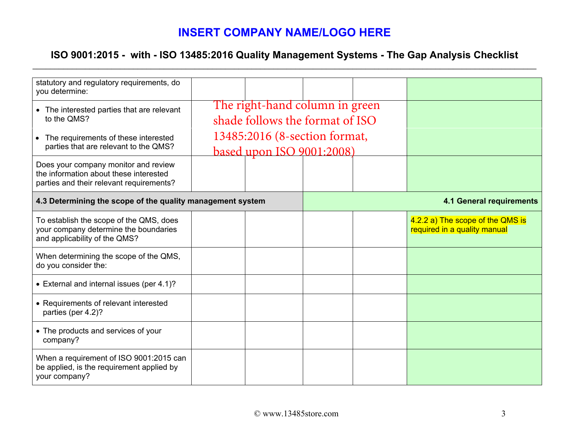## **ISO 9001:2015 - with - ISO 13485:2016 Quality Management Systems - The Gap Analysis Checklist**

| statutory and regulatory requirements, do<br>you determine:                                                                |                                |                                 |                                 |  |                                                                  |
|----------------------------------------------------------------------------------------------------------------------------|--------------------------------|---------------------------------|---------------------------------|--|------------------------------------------------------------------|
| • The interested parties that are relevant<br>to the QMS?                                                                  | The right-hand column in green |                                 |                                 |  |                                                                  |
|                                                                                                                            |                                | shade follows the format of ISO |                                 |  |                                                                  |
| The requirements of these interested<br>$\bullet$<br>parties that are relevant to the QMS?                                 | 13485:2016 (8-section format,  |                                 |                                 |  |                                                                  |
|                                                                                                                            |                                | based upon ISO 9001:2008)       |                                 |  |                                                                  |
| Does your company monitor and review<br>the information about these interested<br>parties and their relevant requirements? |                                |                                 |                                 |  |                                                                  |
| 4.3 Determining the scope of the quality management system                                                                 |                                |                                 | <b>4.1 General requirements</b> |  |                                                                  |
| To establish the scope of the QMS, does<br>your company determine the boundaries<br>and applicability of the QMS?          |                                |                                 |                                 |  | 4.2.2 a) The scope of the QMS is<br>required in a quality manual |
| When determining the scope of the QMS,<br>do you consider the:                                                             |                                |                                 |                                 |  |                                                                  |
| • External and internal issues (per 4.1)?                                                                                  |                                |                                 |                                 |  |                                                                  |
| • Requirements of relevant interested<br>parties (per 4.2)?                                                                |                                |                                 |                                 |  |                                                                  |
| • The products and services of your<br>company?                                                                            |                                |                                 |                                 |  |                                                                  |
| When a requirement of ISO 9001:2015 can<br>be applied, is the requirement applied by<br>your company?                      |                                |                                 |                                 |  |                                                                  |